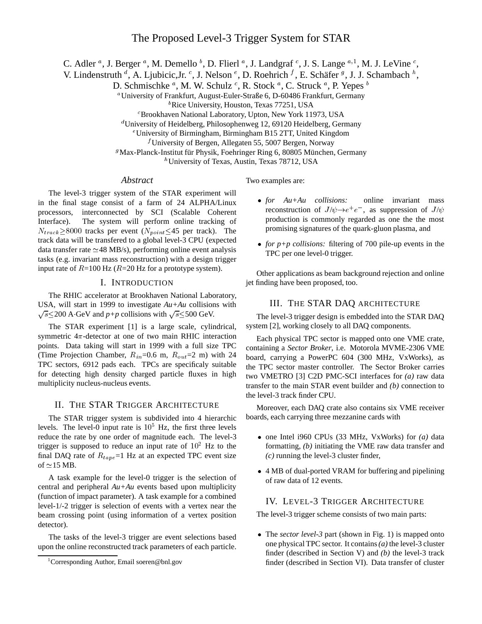C. Adler  $^a$ , J. Berger  $^a$ , M. Demello  $^b$ , D. Flierl  $^a$ , J. Landgraf  $^c$ , J. S. Lange  $^{a,1}$ , M. J. LeVine  $^c$ ,

V. Lindenstruth <sup>d</sup>, A. Ljubicic, Jr. <sup>c</sup>, J. Nelson <sup>e</sup>, D. Roehrich <sup>f</sup>, E. Schäfer <sup>g</sup>, J. J. Schambach <sup>h</sup>,

D. Schmischke  $^a$ , M. W. Schulz  $^c$ , R. Stock  $^a$ , C. Struck  $^a$ , P. Yepes  $^b$ 

a University of Frankfurt, August-Euler-Straße 6, D-60486 Frankfurt, Germany

<sup>b</sup>Rice University, Houston, Texas 77251, USA

c Brookhaven National Laboratory, Upton, New York 11973, USA

d University of Heidelberg, Philosophenweg 12, 69120 Heidelberg, Germany

e University of Birmingham, Birmingham B15 2TT, United Kingdom

f University of Bergen, Allegaten 55, 5007 Bergen, Norway

<sup>g</sup>Max-Planck-Institut für Physik, Foehringer Ring 6, 80805 München, Germany

h University of Texas, Austin, Texas 78712, USA

# *Abstract*

The level-3 trigger system of the STAR experiment will in the final stage consist of a farm of 24 ALPHA/Linux processors, interconnected by SCI (Scalable Coherent Interface). The system will perform online tracking of  $N_{track} \ge 8000$  tracks per event  $(N_{point} \le 45$  per track). The track data will be transfered to a global level-3 CPU (expected data transfer rate  $\simeq$  48 MB/s), performing online event analysis tasks (e.g. invariant mass reconstruction) with a design trigger input rate of  $R=100$  Hz ( $R=20$  Hz for a prototype system).

#### I. INTRODUCTION

The RHIC accelerator at Brookhaven National Laboratory, USA, will start in 1999 to investigate *Au+Au* collisions with  $\sqrt{s} \leq 200$  A GeV and *p+p* collisions with  $\sqrt{s} \leq 500$  GeV.

The STAR experiment [1] is a large scale, cylindrical, symmetric  $4\pi$ -detector at one of two main RHIC interaction points. Data taking will start in 1999 with a full size TPC (Time Projection Chamber,  $R_{in} = 0.6$  m,  $R_{out} = 2$  m) with 24 TPC sectors, 6912 pads each. TPCs are specificaly suitable for detecting high density charged particle fluxes in high multiplicity nucleus-nucleus events.

# II. THE STAR TRIGGER ARCHITECTURE

The STAR trigger system is subdivided into 4 hierarchic levels. The level-0 input rate is  $10<sup>5</sup>$  Hz, the first three levels reduce the rate by one order of magnitude each. The level-3 trigger is supposed to reduce an input rate of  $10^2$  Hz to the final DAQ rate of  $R_{tane}$ =1 Hz at an expected TPC event size of  $\simeq$ 15 MB.

A task example for the level-0 trigger is the selection of central and peripheral *Au+Au* events based upon multiplicity (function of impact parameter). A task example for a combined level-1/-2 trigger is selection of events with a vertex near the beam crossing point (using information of a vertex position detector).

The tasks of the level-3 trigger are event selections based upon the online reconstructed track parameters of each particle.

Two examples are:

- *for Au+Au collisions:* online invariant mass reconstruction of  $J/\psi \rightarrow e^+e^-$ , as suppression of  $J/\psi$ production is commonly regarded as one the the most promising signatures of the quark-gluon plasma, and
- *for p+p collisions:* filtering of 700 pile-up events in the TPC per one level-0 trigger.

Other applications as beam background rejection and online jet finding have been proposed, too.

# III. THE STAR DAQ ARCHITECTURE

The level-3 trigger design is embedded into the STAR DAQ system [2], working closely to all DAQ components.

Each physical TPC sector is mapped onto one VME crate, containing a *Sector Broker*, i.e. Motorola MVME-2306 VME board, carrying a PowerPC 604 (300 MHz, VxWorks), as the TPC sector master controller. The Sector Broker carries two VMETRO [3] C2D PMC-SCI interfaces for *(a)* raw data transfer to the main STAR event builder and *(b)* connection to the level-3 track finder CPU.

Moreover, each DAQ crate also contains six VME receiver boards, each carrying three mezzanine cards with

- one Intel i960 CPUs (33 MHz, VxWorks) for *(a)* data formatting, *(b)* initiating the VME raw data transfer and *(c)* running the level-3 cluster finder,
- 4 MB of dual-ported VRAM for buffering and pipelining of raw data of 12 events.

## IV. LEVEL-3 TRIGGER ARCHITECTURE

The level-3 trigger scheme consists of two main parts:

 The *sector level-3* part (shown in Fig. 1) is mapped onto one physical TPC sector. It contains*(a)* the level-3 cluster finder (described in Section V) and *(b)* the level-3 track finder (described in Section VI). Data transfer of cluster

<sup>&</sup>lt;sup>1</sup>Corresponding Author, Email soeren@bnl.gov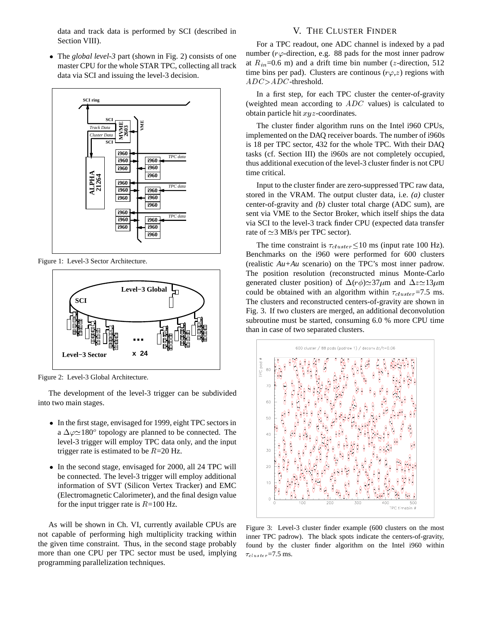data and track data is performed by SCI (described in Section VIII).

 The *global level-3* part (shown in Fig. 2) consists of one master CPU for the whole STAR TPC, collecting all track data via SCI and issuing the level-3 decision.



Figure 1: Level-3 Sector Architecture.



Figure 2: Level-3 Global Architecture.

The development of the level-3 trigger can be subdivided into two main stages.

- In the first stage, envisaged for 1999, eight TPC sectors in a  $\Delta\varphi \approx 180^\circ$  topology are planned to be connected. The level-3 trigger will employ TPC data only, and the input trigger rate is estimated to be  $R=20$  Hz.
- In the second stage, envisaged for 2000, all 24 TPC will be connected. The level-3 trigger will employ additional information of SVT (Silicon Vertex Tracker) and EMC (Electromagnetic Calorimeter), and the final design value for the input trigger rate is  $R=100$  Hz.

As will be shown in Ch. VI, currently available CPUs are not capable of performing high multiplicity tracking within the given time constraint. Thus, in the second stage probably more than one CPU per TPC sector must be used, implying programming parallelization techniques.

## V. THE CLUSTER FINDER

For a TPC readout, one ADC channel is indexed by a pad number ( $r\varphi$ -direction, e.g. 88 pads for the most inner padrow at  $R_{in}$ =0.6 m) and a drift time bin number (*z*-direction, 512 time bins per pad). Clusters are continous  $(r\varphi, z)$  regions with  $ADC$ -threshold.

In a first step, for each TPC cluster the center-of-gravity (weighted mean according to  $ADC$  values) is calculated to obtain particle hit  $xyz$ -coordinates.

The cluster finder algorithm runs on the Intel i960 CPUs, implemented on the DAQ receiver boards. The number of i960s is 18 per TPC sector, 432 for the whole TPC. With their DAQ tasks (cf. Section III) the i960s are not completely occupied, thus additional execution of the level-3 cluster finder is not CPU time critical.

Input to the cluster finder are zero-suppressed TPC raw data, stored in the VRAM. The output cluster data, i.e. *(a)* cluster center-of-gravity and *(b)* cluster total charge (ADC sum), are sent via VME to the Sector Broker, which itself ships the data via SCI to the level-3 track finder CPU (expected data transfer rate of  $\simeq$  3 MB/s per TPC sector).

The time constraint is  $\tau_{cluster} \leq 10$  ms (input rate 100 Hz). Benchmarks on the i960 were performed for 600 clusters (realistic *Au+Au* scenario) on the TPC's most inner padrow. The position resolution (reconstructed minus Monte-Carlo generated cluster position) of  $\Delta(r\phi) \approx 37 \mu m$  and  $\Delta z \approx 13 \mu m$ could be obtained with an algorithm within  $\tau_{cluster} = 7.5$  ms. The clusters and reconstructed centers-of-gravity are shown in Fig. 3. If two clusters are merged, an additional deconvolution subroutine must be started, consuming 6.0 % more CPU time than in case of two separated clusters.



Figure 3: Level-3 cluster finder example (600 clusters on the most inner TPC padrow). The black spots indicate the centers-of-gravity, found by the cluster finder algorithm on the Intel i960 within  $\tau_{cluster}$ =7.5 ms.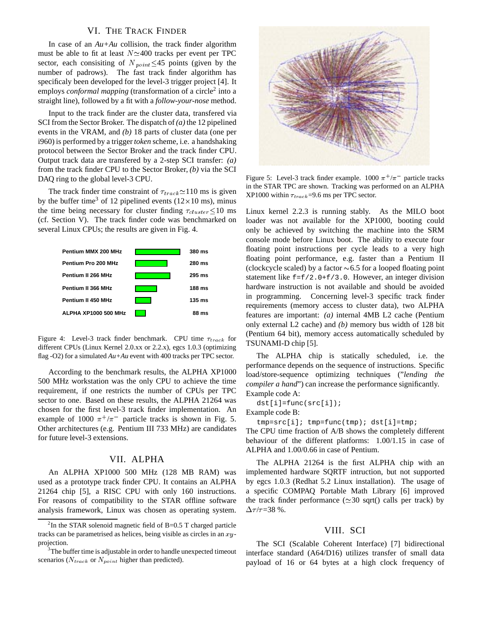#### VI. THE TRACK FINDER

In case of an *Au+Au* collision, the track finder algorithm must be able to fit at least  $N \approx 400$  tracks per event per TPC sector, each consisiting of  $N_{point} \leq 45$  points (given by the number of padrows). The fast track finder algorithm has specificaly been developed for the level-3 trigger project [4]. It employs *conformal mapping* (transformation of a circle<sup>2</sup> into a straight line), followed by a fit with a *follow-your-nose* method.

Input to the track finder are the cluster data, transfered via SCI from the Sector Broker. The dispatch of*(a)* the 12 pipelined events in the VRAM, and *(b)* 18 parts of cluster data (one per i960) is performed by a trigger *token* scheme, i.e. a handshaking protocol between the Sector Broker and the track finder CPU. Output track data are transfered by a 2-step SCI transfer: *(a)* from the track finder CPU to the Sector Broker, *(b)* via the SCI DAQ ring to the global level-3 CPU.

The track finder time constraint of  $\tau_{track} \simeq 110$  ms is given by the buffer time<sup>3</sup> of 12 pipelined events  $(12 \times 10 \text{ ms})$ , minus the time being necessary for cluster finding  $\tau_{cluster} \leq 10$  ms (cf. Section V). The track finder code was benchmarked on several Linux CPUs; the results are given in Fig. 4.



Figure 4: Level-3 track finder benchmark. CPU time  $\tau_{track}$  for different CPUs (Linux Kernel 2.0.xx or 2.2.x), egcs 1.0.3 (optimizing flag -O2) for a simulated *Au+Au* event with 400 tracks per TPC sector.

According to the benchmark results, the ALPHA XP1000 500 MHz workstation was the only CPU to achieve the time requirement, if one restricts the number of CPUs per TPC sector to one. Based on these results, the ALPHA 21264 was chosen for the first level-3 track finder implementation. An example of 1000  $\pi^{+}/\pi^{-}$  particle tracks is shown in Fig. 5. Other architectures (e.g. Pentium III 733 MHz) are candidates for future level-3 extensions.

# VII. ALPHA

An ALPHA XP1000 500 MHz (128 MB RAM) was used as a prototype track finder CPU. It contains an ALPHA 21264 chip [5], a RISC CPU with only 160 instructions. For reasons of compatibility to the STAR offline software analysis framework, Linux was chosen as operating system.



Figure 5: Level-3 track finder example.  $1000 \pi^+/\pi^-$  particle tracks in the STAR TPC are shown. Tracking was performed on an ALPHA XP1000 within  $\tau_{track}$ =9.6 ms per TPC sector.

Linux kernel 2.2.3 is running stably. As the MILO boot loader was not available for the XP1000, booting could only be achieved by switching the machine into the SRM console mode before Linux boot. The ability to execute four floating point instructions per cycle leads to a very high floating point performance, e.g. faster than a Pentium II (clockcycle scaled) by a factor  $\sim 6.5$  for a looped floating point statement like f=f/2.0+f/3.0. However, an integer division hardware instruction is not available and should be avoided in programming. Concerning level-3 specific track finder requirements (memory access to cluster data), two ALPHA features are important: *(a)* internal 4MB L2 cache (Pentium only external L2 cache) and *(b)* memory bus width of 128 bit (Pentium 64 bit), memory access automatically scheduled by TSUNAMI-D chip [5].

The ALPHA chip is statically scheduled, i.e. the performance depends on the sequence of instructions. Specific load/store-sequence optimizing techniques ("*lending the compiler a hand*") can increase the performance significantly. Example code A:

dst[i]=func(src[i]);

```
Example code B:
```
tmp=src[i]; tmp=func(tmp); dst[i]=tmp;

The CPU time fraction of A/B shows the completely different behaviour of the different platforms: 1.00/1.15 in case of ALPHA and 1.00/0.66 in case of Pentium.

The ALPHA 21264 is the first ALPHA chip with an implemented hardware SQRTF intruction, but not supported by egcs 1.0.3 (Redhat 5.2 Linux installation). The usage of a specific COMPAQ Portable Math Library [6] improved the track finder performance ( $\simeq$ 30 sqrt() calls per track) by  $\Delta \tau / \tau = 38 \%$ .

## VIII. SCI

The SCI (Scalable Coherent Interface) [7] bidirectional interface standard (A64/D16) utilizes transfer of small data payload of 16 or 64 bytes at a high clock frequency of

<sup>&</sup>lt;sup>2</sup>In the STAR solenoid magnetic field of B=0.5 T charged particle tracks can be parametrised as helices, being visible as circles in an xyprojection.

 $3$ The buffer time is adjustable in order to handle unexpected timeout scenarios ( $N_{track}$  or  $N_{point}$  higher than predicted).